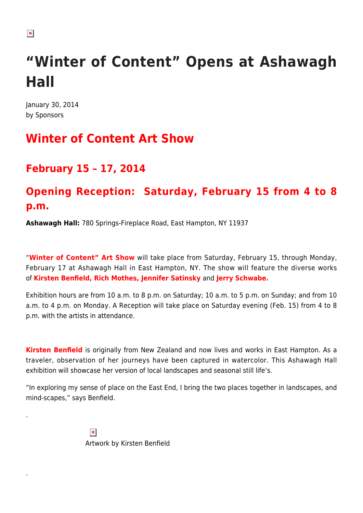## **"Winter of Content" Opens at Ashawagh Hall**

January 30, 2014 by Sponsors

## **Winter of Content Art Show**

## **February 15 – 17, 2014**

## **Opening Reception: Saturday, February 15 from 4 to 8 p.m.**

**Ashawagh Hall:** 780 Springs-Fireplace Road, East Hampton, NY 11937

"**Winter of Content" Art Show** will take place from Saturday, February 15, through Monday, February 17 at Ashawagh Hall in East Hampton, NY. The show will feature the diverse works of **Kirsten Benfield, Rich Mothes, Jennifer Satinsky** and **Jerry Schwabe.**

Exhibition hours are from 10 a.m. to 8 p.m. on Saturday; 10 a.m. to 5 p.m. on Sunday; and from 10 a.m. to 4 p.m. on Monday. A Reception will take place on Saturday evening (Feb. 15) from 4 to 8 p.m. with the artists in attendance.

**Kirsten Benfield** is originally from New Zealand and now lives and works in East Hampton. As a traveler, observation of her journeys have been captured in watercolor. This Ashawagh Hall exhibition will showcase her version of local landscapes and seasonal still life's.

"In exploring my sense of place on the East End, I bring the two places together in landscapes, and mind-scapes," says Benfield.

> $\pmb{\times}$ Artwork by Kirsten Benfield

 $\pmb{\times}$ 

.

.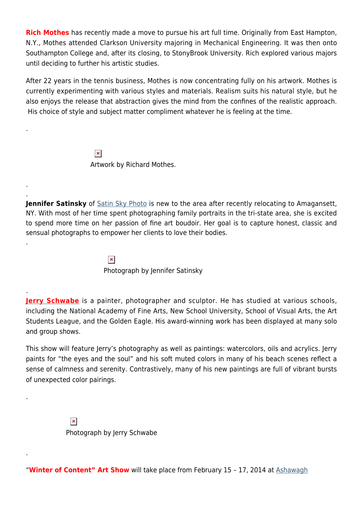**Rich Mothes** has recently made a move to pursue his art full time. Originally from East Hampton, N.Y., Mothes attended Clarkson University majoring in Mechanical Engineering. It was then onto Southampton College and, after its closing, to StonyBrook University. Rich explored various majors until deciding to further his artistic studies.

After 22 years in the tennis business, Mothes is now concentrating fully on his artwork. Mothes is currently experimenting with various styles and materials. Realism suits his natural style, but he also enjoys the release that abstraction gives the mind from the confines of the realistic approach. His choice of style and subject matter compliment whatever he is feeling at the time.

> $\pmb{\times}$ Artwork by Richard Mothes.

.

. .

.

.

.

.

**Jennifer Satinsky** of [Satin Sky Photo](http://www.satinskyphoto.com/) is new to the area after recently relocating to Amagansett, NY. With most of her time spent photographing family portraits in the tri-state area, she is excited to spend more time on her passion of fine art boudoir. Her goal is to capture honest, classic and sensual photographs to empower her clients to love their bodies.

> $\pmb{\times}$ Photograph by Jennifer Satinsky

**[Jerry Schwabe](http://www.jerryschwabe.com/)** is a painter, photographer and sculptor. He has studied at various schools, including the National Academy of Fine Arts, New School University, School of Visual Arts, the Art Students League, and the Golden Eagle. His award-winning work has been displayed at many solo and group shows.

This show will feature Jerry's photography as well as paintings: watercolors, oils and acrylics. Jerry paints for "the eyes and the soul" and his soft muted colors in many of his beach scenes reflect a sense of calmness and serenity. Contrastively, many of his new paintings are full of vibrant bursts of unexpected color pairings.

> $\pmb{\times}$ Photograph by Jerry Schwabe